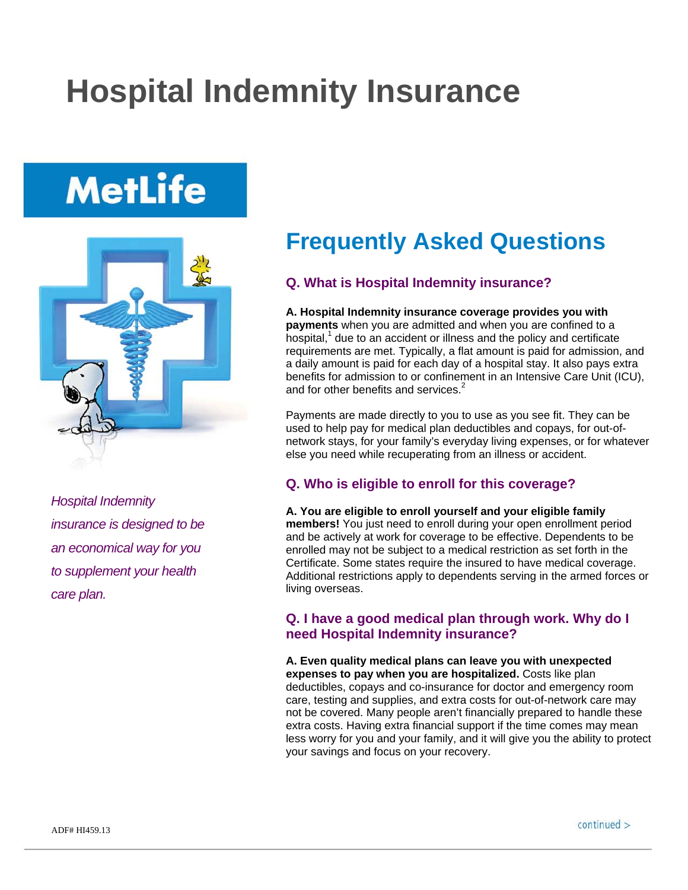## **Hospital Indemnity Insurance**

# **MetLife**



*Hospital Indemnity insurance is designed to be an economical way for you to supplement your health care plan.* 

## **Frequently Asked Questions**

## **Q. What is Hospital Indemnity insurance?**

**A. Hospital Indemnity insurance coverage provides you with payments** when you are admitted and when you are confined to a hospital,<sup>1</sup> due to an accident or illness and the policy and certificate requirements are met. Typically, a flat amount is paid for admission, and a daily amount is paid for each day of a hospital stay. It also pays extra benefits for admission to or confinement in an Intensive Care Unit (ICU), and for other benefits and services.<sup>2</sup>

Payments are made directly to you to use as you see fit. They can be used to help pay for medical plan deductibles and copays, for out-ofnetwork stays, for your family's everyday living expenses, or for whatever else you need while recuperating from an illness or accident.

## **Q. Who is eligible to enroll for this coverage?**

**A. You are eligible to enroll yourself and your eligible family members!** You just need to enroll during your open enrollment period and be actively at work for coverage to be effective. Dependents to be enrolled may not be subject to a medical restriction as set forth in the Certificate. Some states require the insured to have medical coverage. Additional restrictions apply to dependents serving in the armed forces or living overseas.

### **Q. I have a good medical plan through work. Why do I need Hospital Indemnity insurance?**

**A. Even quality medical plans can leave you with unexpected expenses to pay when you are hospitalized.** Costs like plan deductibles, copays and co-insurance for doctor and emergency room care, testing and supplies, and extra costs for out-of-network care may not be covered. Many people aren't financially prepared to handle these extra costs. Having extra financial support if the time comes may mean less worry for you and your family, and it will give you the ability to protect your savings and focus on your recovery.